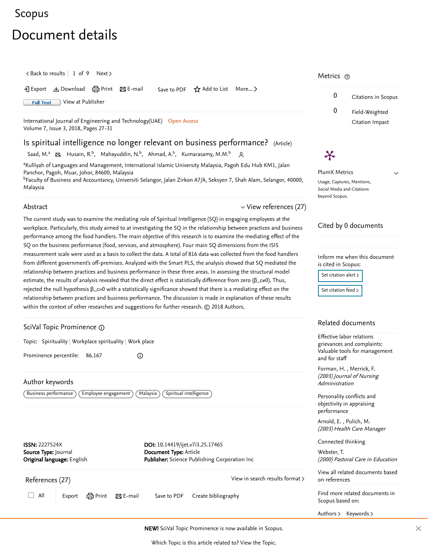# [Scopus](https://www.scopus.com/home.uri?zone=header&origin=searchbasic)

# Document details

 $\langle$  [Back to results](https://www.scopus.com/results/results.uri?sort=plf-f&src=s&sid=4610846132b30df75fdbefaf06b0ef8e&sot=autdocs&sdt=autdocs&sl=18&s=AU-ID%2855370579000%29&offset=1&origin=recordpage)  $\vert$  1 of 9 [Next](https://www.scopus.com/record/display.uri?origin=recordpage&eid=2-s2.0-85049150575&citeCnt=0&noHighlight=false&sort=plf-f&src=s&sid=4610846132b30df75fdbefaf06b0ef8e&sot=autdocs&sdt=autdocs&sl=18&s=AU-ID%2855370579000%29&relpos=1) >

 $\Sigma$  Export  $\Sigma$  Download  $\bigoplus$  Print  $\Sigma$  E-mail Save to PDF  $\star$  Add to List More...  $\Sigma$ 

**Full Text** [View at Publisher](https://www.scopus.com/redirect/linking.uri?targetURL=https%3a%2f%2fdoi.org%2f10.14419%2fijet.v7i3.25.17465&locationID=1&categoryID=4&eid=2-s2.0-85051571260&issn=2227524X&linkType=ViewAtPublisher&year=2018&origin=recordpage&dig=74d063bf9bcf916b27485817db3f5c0e&recordRank=)

[International Journal of Engineering and Technology\(UAE\)](https://www.scopus.com/sourceid/21100805731?origin=recordpage) Open Access Volume 7, Issue 3, 2018, Pages 27-31

## Is spiritual intelligence no longer relevant on business performance? (Article)

[Saad, M.](https://www.scopus.com/authid/detail.uri?authorId=55370579000&eid=2-s2.0-85051571260)<sup>a</sup> ⊠, [Husain, R.](https://www.scopus.com/authid/detail.uri?authorId=57188970865&eid=2-s2.0-85051571260)<sup>b</sup>, [Mahayuddin, N.](https://www.scopus.com/authid/detail.uri?authorId=57203401280&eid=2-s2.0-85051571260)<sup>b</sup>, [Ahmad, A.](https://www.scopus.com/authid/detail.uri?authorId=57203401137&eid=2-s2.0-85051571260)<sup>b</sup>, [Kumarasamy, M.M.](https://www.scopus.com/authid/detail.uri?authorId=57203402068&eid=2-s2.0-85051571260)<sup>b</sup> 2

<sup>a</sup>Kulliyah of Languages and Management, International Islamic University Malaysia, Pagoh Edu Hub KM1, Jalan Panchor, Pagoh, Muar, Johor, 84600, Malaysia

<sup>b</sup>Faculty of Business and Accountancy, Universiti Selangor, Jalan Zirkon A7/A, Seksyen 7, Shah Alam, Selangor, 40000, Malaysia

#### Abstract

The current study was to examine the mediating role of Spiritual Intelligence (SQ) in engaging employees at the workplace. Particularly, this study aimed to at investigating the SQ in the relationship between practices and business performance among the food handlers. The main objective of this research is to examine the mediating effect of the SQ on the business performance (food, services, and atmosphere). Four main SQ dimensions from the ISIS measurement scale were used as a basis to collect the data. A total of 816 data was collected from the food handlers from different government's off-premises. Analyzed with the Smart PLS, the analysis showed that SQ mediated the relationship between practices and business performance in these three areas. In assessing the structural model estimate, the results of analysis revealed that the direct effect is statistically difference from zero ( $\beta$ \_c≠0). Thus, rejected the null hypothesis  $β_c=0$  with a statistically significance showed that there is a mediating effect on the relationship between practices and business performance. The discussion is made in explanation of these results within the context of other researches and suggestions for further research. © 2018 Authors.

#### <span id="page-0-1"></span>References (27) SciVal Topic Prominence Topic: Spirituality | Workplace spirituality | Work place Prominence percentile: 86.167 Author keywords  $\big($  Business performance  $\big)$   $\big($  Employee engagement  $\big)$   $\big($  Malaysia  $\big)$   $\big($  Spiritual intelligence  $\big)$  $\bigcirc$ ISSN: 2227524X Source Type: Journal Original language: English DOI: 10.14419/ijet.v7i3.25.17465 Document Type: Article Publisher: Science Publishing Corporation Inc [View in search results format](https://www.scopus.com/search/submit/references.uri?sort=plf-f&src=r&imp=t&sid=2d1a2c1f423822f0a263821bae021a2c&sot=rec&sdt=citedreferences&sl=23&s=EID%282-s2.0-85051571260%29&origin=recordpage&citeCnt=1&citingId=2-s2.0-85051571260) >  $\Box$  All Export  $\bigoplus$  Print  $\boxtimes$  E-mail Save to PDF Create bibliography Related documents , [Forman, H.](https://www.scopus.com/authid/detail.uri?origin=recordpage&authorId=7102473524&zone=relatedDocuments) [Merrick, F.](https://www.scopus.com/authid/detail.uri?origin=recordpage&authorId=6508236056&zone=relatedDocuments) (2003) Journal of Nursing Administration , [Arnold, E.](https://www.scopus.com/authid/detail.uri?origin=recordpage&authorId=36010350300&zone=relatedDocuments) [Pulich, M.](https://www.scopus.com/authid/detail.uri?origin=recordpage&authorId=6602820867&zone=relatedDocuments) Scopus based on: Effective labor relations and for staff [Personality conflicts and](https://www.scopus.com/record/display.uri?origin=recordpage&zone=relatedDocuments&eid=2-s2.0-0141720323&citeCnt=0&noHighlight=false&sort=plf-f&src=s&sid=4610846132b30df75fdbefaf06b0ef8e&sot=autdocs&sdt=autdocs&sl=18&s=AU-ID%2855370579000%29&relpos=1) objectivity in appraising performance [Connected thinking](https://www.scopus.com/record/display.uri?origin=recordpage&zone=relatedDocuments&eid=2-s2.0-85011156096&citeCnt=0&noHighlight=false&sort=plf-f&src=s&sid=4610846132b30df75fdbefaf06b0ef8e&sot=autdocs&sdt=autdocs&sl=18&s=AU-ID%2855370579000%29&relpos=2) [Webster, T.](https://www.scopus.com/authid/detail.uri?origin=recordpage&authorId=57194893105&zone=relatedDocuments) on references [Authors](https://www.scopus.com/search/submit/mlt.uri?eid=2-s2.0-85051571260&src=s&all=true&origin=recordpage&method=aut&zone=relatedDocuments) > [Keywords](https://www.scopus.com/search/submit/mlt.uri?eid=2-s2.0-85051571260&src=s&all=true&origin=recordpage&method=key&zone=relatedDocuments) > NEW! SciVal Topic Prominence is now available in Scopus.

<span id="page-0-0"></span>Which Topic is this article related to? [View the Topic](#page-0-1).

### Metrics ල

Ӿ



 $\vee$ 

PlumX Metrics Usage, Captures, Mentions, Social Media and Citations beyond Scopus.

 $\vee$  [View references \(27\)](#page-0-0)

#### Cited by 0 documents

Inform me when this document is cited in Scopus:

Set citation alert >

[Set citation feed](https://www.scopus.com/results/rss/handler.uri?citeEid=2-s2.0-85051571260) >

grievances and complaints: [Valuable tools for management](https://www.scopus.com/record/display.uri?origin=recordpage&zone=relatedDocuments&eid=2-s2.0-0037335101&citeCnt=0&noHighlight=false&sort=plf-f&src=s&sid=4610846132b30df75fdbefaf06b0ef8e&sot=autdocs&sdt=autdocs&sl=18&s=AU-ID%2855370579000%29&relpos=0)

(2003) Health Care Manager

(2000) Pastoral Care in Education

[View all related documents based](https://www.scopus.com/search/submit/mlt.uri?eid=2-s2.0-85051571260&src=s&all=true&origin=recordpage&method=ref&zone=relatedDocuments)

Find more related documents in